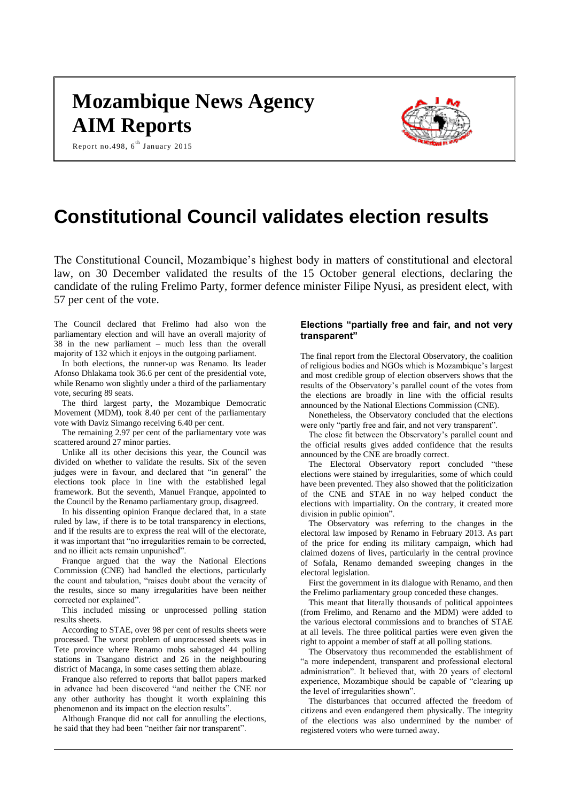# **Mozambique News Agency AIM Reports**

Report no.498, 6<sup>th</sup> January 2015



# **Constitutional Council validates election results**

The Constitutional Council, Mozambique's highest body in matters of constitutional and electoral law, on 30 December validated the results of the 15 October general elections, declaring the candidate of the ruling Frelimo Party, former defence minister Filipe Nyusi, as president elect, with 57 per cent of the vote.

The Council declared that Frelimo had also won the parliamentary election and will have an overall majority of 38 in the new parliament – much less than the overall majority of 132 which it enjoys in the outgoing parliament.

In both elections, the runner-up was Renamo. Its leader Afonso Dhlakama took 36.6 per cent of the presidential vote, while Renamo won slightly under a third of the parliamentary vote, securing 89 seats.

The third largest party, the Mozambique Democratic Movement (MDM), took 8.40 per cent of the parliamentary vote with Daviz Simango receiving 6.40 per cent.

The remaining 2.97 per cent of the parliamentary vote was scattered around 27 minor parties.

Unlike all its other decisions this year, the Council was divided on whether to validate the results. Six of the seven judges were in favour, and declared that "in general" the elections took place in line with the established legal framework. But the seventh, Manuel Franque, appointed to the Council by the Renamo parliamentary group, disagreed.

In his dissenting opinion Franque declared that, in a state ruled by law, if there is to be total transparency in elections, and if the results are to express the real will of the electorate, it was important that "no irregularities remain to be corrected, and no illicit acts remain unpunished".

Franque argued that the way the National Elections Commission (CNE) had handled the elections, particularly the count and tabulation, "raises doubt about the veracity of the results, since so many irregularities have been neither corrected nor explained".

This included missing or unprocessed polling station results sheets.

According to STAE, over 98 per cent of results sheets were processed. The worst problem of unprocessed sheets was in Tete province where Renamo mobs sabotaged 44 polling stations in Tsangano district and 26 in the neighbouring district of Macanga, in some cases setting them ablaze.

Franque also referred to reports that ballot papers marked in advance had been discovered "and neither the CNE nor any other authority has thought it worth explaining this phenomenon and its impact on the election results".

Although Franque did not call for annulling the elections, he said that they had been "neither fair nor transparent".

# **Elections "partially free and fair, and not very transparent"**

The final report from the Electoral Observatory, the coalition of religious bodies and NGOs which is Mozambique's largest and most credible group of election observers shows that the results of the Observatory's parallel count of the votes from the elections are broadly in line with the official results announced by the National Elections Commission (CNE).

Nonetheless, the Observatory concluded that the elections were only "partly free and fair, and not very transparent".

The close fit between the Observatory's parallel count and the official results gives added confidence that the results announced by the CNE are broadly correct.

The Electoral Observatory report concluded "these elections were stained by irregularities, some of which could have been prevented. They also showed that the politicization of the CNE and STAE in no way helped conduct the elections with impartiality. On the contrary, it created more division in public opinion".

The Observatory was referring to the changes in the electoral law imposed by Renamo in February 2013. As part of the price for ending its military campaign, which had claimed dozens of lives, particularly in the central province of Sofala, Renamo demanded sweeping changes in the electoral legislation.

First the government in its dialogue with Renamo, and then the Frelimo parliamentary group conceded these changes.

This meant that literally thousands of political appointees (from Frelimo, and Renamo and the MDM) were added to the various electoral commissions and to branches of STAE at all levels. The three political parties were even given the right to appoint a member of staff at all polling stations.

The Observatory thus recommended the establishment of "a more independent, transparent and professional electoral administration". It believed that, with 20 years of electoral experience, Mozambique should be capable of "clearing up the level of irregularities shown".

The disturbances that occurred affected the freedom of citizens and even endangered them physically. The integrity of the elections was also undermined by the number of registered voters who were turned away.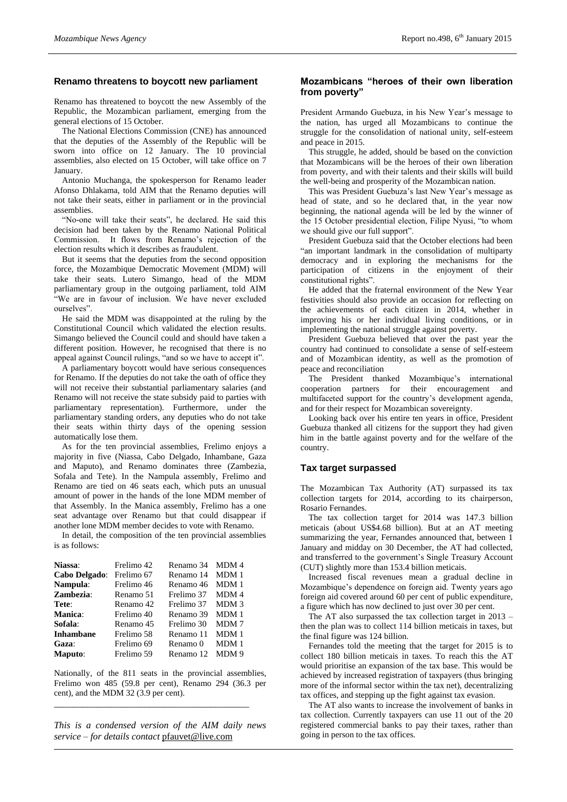# **Renamo threatens to boycott new parliament**

Renamo has threatened to boycott the new Assembly of the Republic, the Mozambican parliament, emerging from the general elections of 15 October.

The National Elections Commission (CNE) has announced that the deputies of the Assembly of the Republic will be sworn into office on 12 January. The 10 provincial assemblies, also elected on 15 October, will take office on 7 January.

Antonio Muchanga, the spokesperson for Renamo leader Afonso Dhlakama, told AIM that the Renamo deputies will not take their seats, either in parliament or in the provincial assemblies.

"No-one will take their seats", he declared. He said this decision had been taken by the Renamo National Political Commission. It flows from Renamo's rejection of the election results which it describes as fraudulent.

But it seems that the deputies from the second opposition force, the Mozambique Democratic Movement (MDM) will take their seats. Lutero Simango, head of the MDM parliamentary group in the outgoing parliament, told AIM "We are in favour of inclusion. We have never excluded ourselves".

He said the MDM was disappointed at the ruling by the Constitutional Council which validated the election results. Simango believed the Council could and should have taken a different position. However, he recognised that there is no appeal against Council rulings, "and so we have to accept it".

A parliamentary boycott would have serious consequences for Renamo. If the deputies do not take the oath of office they will not receive their substantial parliamentary salaries (and Renamo will not receive the state subsidy paid to parties with parliamentary representation). Furthermore, under the parliamentary standing orders, any deputies who do not take their seats within thirty days of the opening session automatically lose them.

As for the ten provincial assemblies, Frelimo enjoys a majority in five (Niassa, Cabo Delgado, Inhambane, Gaza and Maputo), and Renamo dominates three (Zambezia, Sofala and Tete). In the Nampula assembly, Frelimo and Renamo are tied on 46 seats each, which puts an unusual amount of power in the hands of the lone MDM member of that Assembly. In the Manica assembly, Frelimo has a one seat advantage over Renamo but that could disappear if another lone MDM member decides to vote with Renamo.

In detail, the composition of the ten provincial assemblies is as follows:

| Niassa:          | Frelimo 42 | Renamo 34  | MDM 4 |
|------------------|------------|------------|-------|
| Cabo Delgado:    | Frelimo 67 | Renamo 14  | MDM 1 |
| Nampula:         | Frelimo 46 | Renamo 46  | MDM 1 |
| Zambezia:        | Renamo 51  | Frelimo 37 | MDM 4 |
| Tete:            | Renamo 42  | Frelimo 37 | MDM 3 |
| Manica:          | Frelimo 40 | Renamo 39  | MDM 1 |
| Sofala:          | Renamo 45  | Frelimo 30 | MDM7  |
| <b>Inhambane</b> | Frelimo 58 | Renamo 11  | MDM 1 |
| Gaza:            | Frelimo 69 | Renamo 0   | MDM 1 |
| <b>Maputo:</b>   | Frelimo 59 | Renamo 12  | MDM 9 |

Nationally, of the 811 seats in the provincial assemblies, Frelimo won 485 (59.8 per cent), Renamo 294 (36.3 per cent), and the MDM 32 (3.9 per cent).

*\_\_\_\_\_\_\_\_\_\_\_\_\_\_\_\_\_\_\_\_\_\_\_\_\_\_\_\_\_\_\_\_\_\_\_\_\_\_\_\_\_*

*This is a condensed version of the AIM daily news service – for details contact* [pfauvet@live.com](mailto:pfauvet@live.com)

# **Mozambicans "heroes of their own liberation from poverty"**

President Armando Guebuza, in his New Year's message to the nation, has urged all Mozambicans to continue the struggle for the consolidation of national unity, self-esteem and peace in 2015.

This struggle, he added, should be based on the conviction that Mozambicans will be the heroes of their own liberation from poverty, and with their talents and their skills will build the well-being and prosperity of the Mozambican nation.

This was President Guebuza's last New Year's message as head of state, and so he declared that, in the year now beginning, the national agenda will be led by the winner of the 15 October presidential election, Filipe Nyusi, "to whom we should give our full support".

President Guebuza said that the October elections had been "an important landmark in the consolidation of multiparty democracy and in exploring the mechanisms for the participation of citizens in the enjoyment of their constitutional rights".

He added that the fraternal environment of the New Year festivities should also provide an occasion for reflecting on the achievements of each citizen in 2014, whether in improving his or her individual living conditions, or in implementing the national struggle against poverty.

President Guebuza believed that over the past year the country had continued to consolidate a sense of self-esteem and of Mozambican identity, as well as the promotion of peace and reconciliation

The President thanked Mozambique's international cooperation partners for their encouragement and multifaceted support for the country's development agenda, and for their respect for Mozambican sovereignty.

Looking back over his entire ten years in office, President Guebuza thanked all citizens for the support they had given him in the battle against poverty and for the welfare of the country.

# **Tax target surpassed**

The Mozambican Tax Authority (AT) surpassed its tax collection targets for 2014, according to its chairperson, Rosario Fernandes.

The tax collection target for 2014 was 147.3 billion meticais (about US\$4.68 billion). But at an AT meeting summarizing the year, Fernandes announced that, between 1 January and midday on 30 December, the AT had collected, and transferred to the government's Single Treasury Account (CUT) slightly more than 153.4 billion meticais.

Increased fiscal revenues mean a gradual decline in Mozambique's dependence on foreign aid. Twenty years ago foreign aid covered around 60 per cent of public expenditure, a figure which has now declined to just over 30 per cent.

The AT also surpassed the tax collection target in 2013 – then the plan was to collect 114 billion meticais in taxes, but the final figure was 124 billion.

Fernandes told the meeting that the target for 2015 is to collect 180 billion meticais in taxes. To reach this the AT would prioritise an expansion of the tax base. This would be achieved by increased registration of taxpayers (thus bringing more of the informal sector within the tax net), decentralizing tax offices, and stepping up the fight against tax evasion.

The AT also wants to increase the involvement of banks in tax collection. Currently taxpayers can use 11 out of the 20 registered commercial banks to pay their taxes, rather than going in person to the tax offices.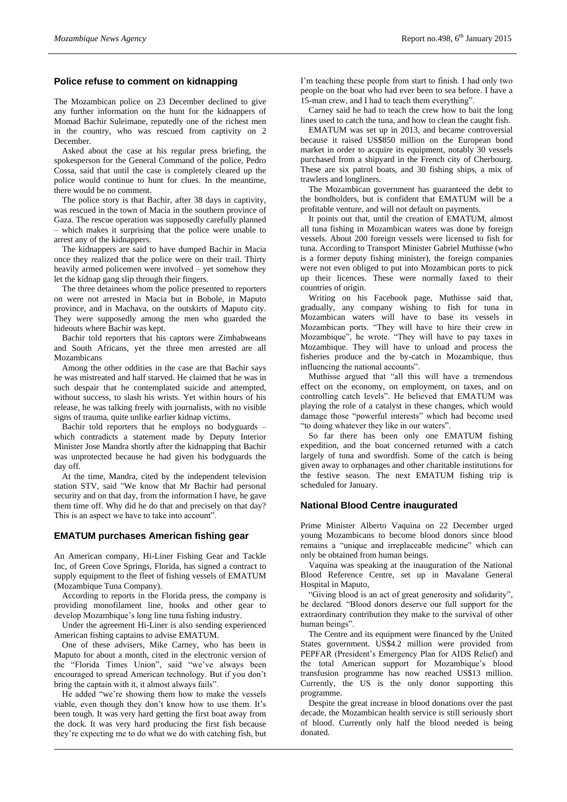# **Police refuse to comment on kidnapping**

The Mozambican police on 23 December declined to give any further information on the hunt for the kidnappers of Momad Bachir Suleimane, reputedly one of the richest men in the country, who was rescued from captivity on 2 December.

Asked about the case at his regular press briefing, the spokesperson for the General Command of the police, Pedro Cossa, said that until the case is completely cleared up the police would continue to hunt for clues. In the meantime, there would be no comment.

The police story is that Bachir, after 38 days in captivity, was rescued in the town of Macia in the southern province of Gaza. The rescue operation was supposedly carefully planned – which makes it surprising that the police were unable to arrest any of the kidnappers.

The kidnappers are said to have dumped Bachir in Macia once they realized that the police were on their trail. Thirty heavily armed policemen were involved – yet somehow they let the kidnap gang slip through their fingers.

The three detainees whom the police presented to reporters on were not arrested in Macia but in Bobole, in Maputo province, and in Machava, on the outskirts of Maputo city. They were supposedly among the men who guarded the hideouts where Bachir was kept.

Bachir told reporters that his captors were Zimbabweans and South Africans, yet the three men arrested are all Mozambicans

Among the other oddities in the case are that Bachir says he was mistreated and half starved. He claimed that he was in such despair that he contemplated suicide and attempted, without success, to slash his wrists. Yet within hours of his release, he was talking freely with journalists, with no visible signs of trauma, quite unlike earlier kidnap victims.

Bachir told reporters that he employs no bodyguards – which contradicts a statement made by Deputy Interior Minister Jose Mandra shortly after the kidnapping that Bachir was unprotected because he had given his bodyguards the day off.

At the time, Mandra, cited by the independent television station STV, said "We know that Mr Bachir had personal security and on that day, from the information I have, he gave them time off. Why did he do that and precisely on that day? This is an aspect we have to take into account".

# **EMATUM purchases American fishing gear**

An American company, Hi-Liner Fishing Gear and Tackle Inc, of Green Cove Springs, Florida, has signed a contract to supply equipment to the fleet of fishing vessels of EMATUM (Mozambique Tuna Company).

According to reports in the Florida press, the company is providing monofilament line, hooks and other gear to develop Mozambique's long line tuna fishing industry.

Under the agreement Hi-Liner is also sending experienced American fishing captains to advise EMATUM.

One of these advisers, Mike Carney, who has been in Maputo for about a month, cited in the electronic version of the "Florida Times Union", said "we've always been encouraged to spread American technology. But if you don't bring the captain with it, it almost always fails".

He added "we're showing them how to make the vessels viable, even though they don't know how to use them. It's been tough. It was very hard getting the first boat away from the dock. It was very hard producing the first fish because they're expecting me to do what we do with catching fish, but I'm teaching these people from start to finish. I had only two people on the boat who had ever been to sea before. I have a 15-man crew, and I had to teach them everything".

Carney said he had to teach the crew how to bait the long lines used to catch the tuna, and how to clean the caught fish.

EMATUM was set up in 2013, and became controversial because it raised US\$850 million on the European bond market in order to acquire its equipment, notably 30 vessels purchased from a shipyard in the French city of Cherbourg. These are six patrol boats, and 30 fishing ships, a mix of trawlers and longliners.

The Mozambican government has guaranteed the debt to the bondholders, but is confident that EMATUM will be a profitable venture, and will not default on payments.

It points out that, until the creation of EMATUM, almost all tuna fishing in Mozambican waters was done by foreign vessels. About 200 foreign vessels were licensed to fish for tuna. According to Transport Minister Gabriel Muthisse (who is a former deputy fishing minister), the foreign companies were not even obliged to put into Mozambican ports to pick up their licences. These were normally faxed to their countries of origin.

Writing on his Facebook page, Muthisse said that, gradually, any company wishing to fish for tuna in Mozambican waters will have to base its vessels in Mozambican ports. "They will have to hire their crew in Mozambique", he wrote. "They will have to pay taxes in Mozambique. They will have to unload and process the fisheries produce and the by-catch in Mozambique, thus influencing the national accounts".

Muthisse argued that "all this will have a tremendous effect on the economy, on employment, on taxes, and on controlling catch levels". He believed that EMATUM was playing the role of a catalyst in these changes, which would damage those "powerful interests" which had become used "to doing whatever they like in our waters".

So far there has been only one EMATUM fishing expedition, and the boat concerned returned with a catch largely of tuna and swordfish. Some of the catch is being given away to orphanages and other charitable institutions for the festive season. The next EMATUM fishing trip is scheduled for January.

# **National Blood Centre inaugurated**

Prime Minister Alberto Vaquina on 22 December urged young Mozambicans to become blood donors since blood remains a "unique and irreplaceable medicine" which can only be obtained from human beings.

Vaquina was speaking at the inauguration of the National Blood Reference Centre, set up in Mavalane General Hospital in Maputo,

"Giving blood is an act of great generosity and solidarity", he declared. "Blood donors deserve our full support for the extraordinary contribution they make to the survival of other human beings".

The Centre and its equipment were financed by the United States government. US\$4.2 million were provided from PEPFAR (President's Emergency Plan for AIDS Relief) and the total American support for Mozambique's blood transfusion programme has now reached US\$13 million. Currently, the US is the only donor supporting this programme.

Despite the great increase in blood donations over the past decade, the Mozambican health service is still seriously short of blood. Currently only half the blood needed is being donated.